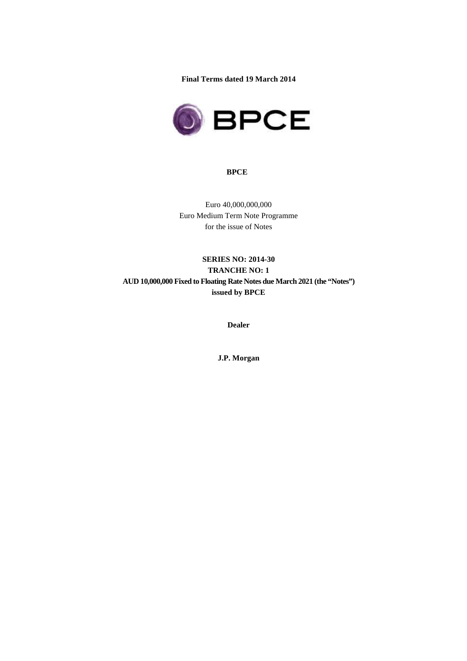**Final Terms dated 19 March 2014** 



#### **BPCE**

Euro 40,000,000,000 Euro Medium Term Note Programme for the issue of Notes

**SERIES NO: 2014-30 TRANCHE NO: 1 AUD 10,000,000 Fixed to Floating Rate Notes due March 2021 (the "Notes") issued by BPCE** 

**Dealer** 

**J.P. Morgan**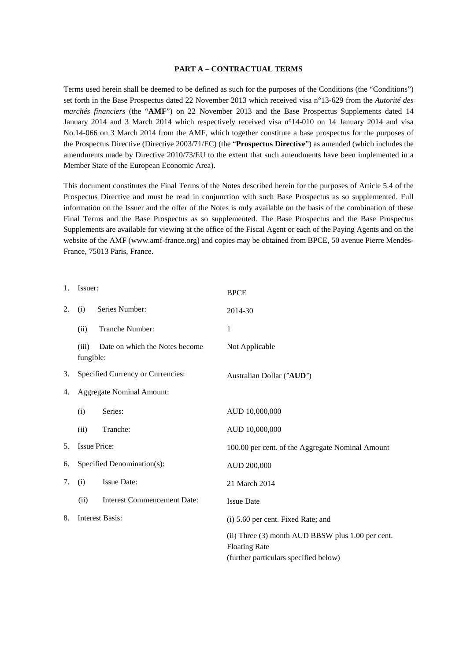#### **PART A – CONTRACTUAL TERMS**

Terms used herein shall be deemed to be defined as such for the purposes of the Conditions (the "Conditions") set forth in the Base Prospectus dated 22 November 2013 which received visa n°13-629 from the *Autorité des marchés financiers* (the "**AMF**") on 22 November 2013 and the Base Prospectus Supplements dated 14 January 2014 and 3 March 2014 which respectively received visa n°14-010 on 14 January 2014 and visa No.14-066 on 3 March 2014 from the AMF, which together constitute a base prospectus for the purposes of the Prospectus Directive (Directive 2003/71/EC) (the "**Prospectus Directive**") as amended (which includes the amendments made by Directive 2010/73/EU to the extent that such amendments have been implemented in a Member State of the European Economic Area).

This document constitutes the Final Terms of the Notes described herein for the purposes of Article 5.4 of the Prospectus Directive and must be read in conjunction with such Base Prospectus as so supplemented. Full information on the Issuer and the offer of the Notes is only available on the basis of the combination of these Final Terms and the Base Prospectus as so supplemented. The Base Prospectus and the Base Prospectus Supplements are available for viewing at the office of the Fiscal Agent or each of the Paying Agents and on the website of the AMF (www.amf-france.org) and copies may be obtained from BPCE, 50 avenue Pierre Mendès-France, 75013 Paris, France.

| 1. | Issuer:                           |                                    | <b>BPCE</b>                                                                                                        |
|----|-----------------------------------|------------------------------------|--------------------------------------------------------------------------------------------------------------------|
| 2. | (i)                               | Series Number:                     | 2014-30                                                                                                            |
|    | (ii)                              | Tranche Number:                    | 1                                                                                                                  |
|    | (iii)<br>fungible:                | Date on which the Notes become     | Not Applicable                                                                                                     |
| 3. | Specified Currency or Currencies: |                                    | Australian Dollar ("AUD")                                                                                          |
| 4. | <b>Aggregate Nominal Amount:</b>  |                                    |                                                                                                                    |
|    | (i)                               | Series:                            | AUD 10,000,000                                                                                                     |
|    | (ii)                              | Tranche:                           | AUD 10,000,000                                                                                                     |
| 5. | <b>Issue Price:</b>               |                                    | 100.00 per cent. of the Aggregate Nominal Amount                                                                   |
| 6. | Specified Denomination(s):        |                                    | AUD 200,000                                                                                                        |
| 7. | (i)                               | Issue Date:                        | 21 March 2014                                                                                                      |
|    | (ii)                              | <b>Interest Commencement Date:</b> | <b>Issue Date</b>                                                                                                  |
| 8. | <b>Interest Basis:</b>            |                                    | (i) 5.60 per cent. Fixed Rate; and                                                                                 |
|    |                                   |                                    | (ii) Three (3) month AUD BBSW plus 1.00 per cent.<br><b>Floating Rate</b><br>(further particulars specified below) |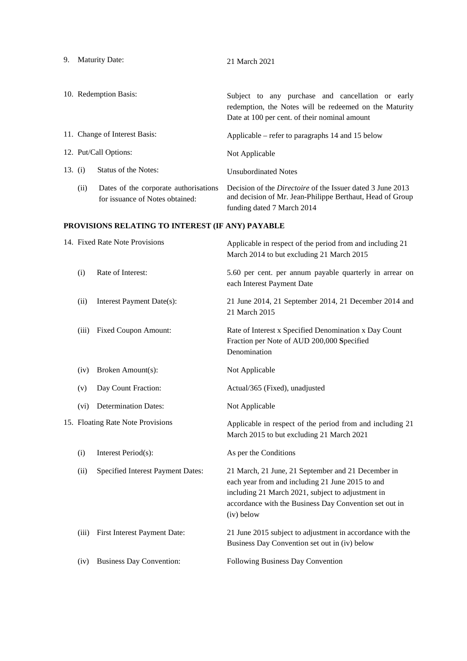10. Redemption Basis: Subject to any purchase and cancellation or early redemption, the Notes will be redeemed on the Maturity Date at 100 per cent. of their nominal amount 11. Change of Interest Basis: Applicable – refer to paragraphs 14 and 15 below 12. Put/Call Options: Not Applicable 13. (i) Status of the Notes: Unsubordinated Notes (ii) Dates of the corporate authorisations for issuance of Notes obtained: Decision of the *Directoire* of the Issuer dated 3 June 2013 and decision of Mr. Jean-Philippe Berthaut, Head of Group funding dated 7 March 2014 **PROVISIONS RELATING TO INTEREST (IF ANY) PAYABLE** 14. Fixed Rate Note Provisions Applicable in respect of the period from and including 21 March 2014 to but excluding 21 March 2015 (i) Rate of Interest: 5.60 per cent. per annum payable quarterly in arrear on each Interest Payment Date (ii) Interest Payment Date(s): 21 June 2014, 21 September 2014, 21 December 2014 and 21 March 2015 (iii) Fixed Coupon Amount: Rate of Interest x Specified Denomination x Day Count Fraction per Note of AUD 200,000 **S**pecified Denomination (iv) Broken Amount(s): Not Applicable (v) Day Count Fraction: Actual/365 (Fixed), unadjusted (vi) Determination Dates: Not Applicable 15. Floating Rate Note Provisions Applicable in respect of the period from and including 21 March 2015 to but excluding 21 March 2021 (i) Interest Period(s): As per the Conditions (ii) Specified Interest Payment Dates: 21 March, 21 June, 21 September and 21 December in each year from and including 21 June 2015 to and including 21 March 2021, subject to adjustment in accordance with the Business Day Convention set out in (iv) below (iii) First Interest Payment Date: 21 June 2015 subject to adjustment in accordance with the Business Day Convention set out in (iv) below (iv) Business Day Convention: Following Business Day Convention

9. Maturity Date: 21 March 2021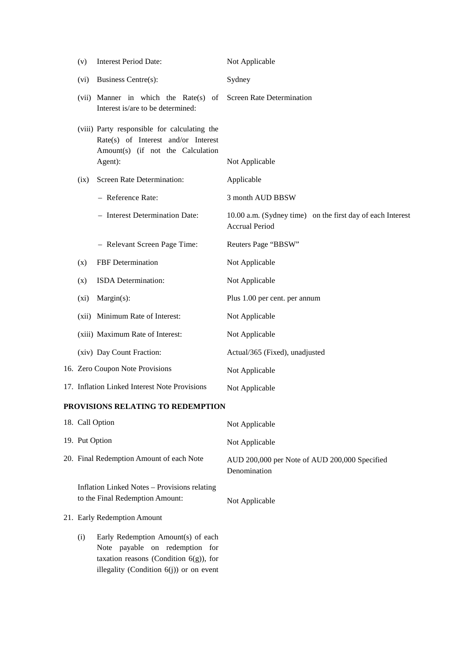|                                   | (v)  | <b>Interest Period Date:</b>                                                                                                        | Not Applicable                                                                      |
|-----------------------------------|------|-------------------------------------------------------------------------------------------------------------------------------------|-------------------------------------------------------------------------------------|
|                                   | (vi) | Business Centre(s):                                                                                                                 | Sydney                                                                              |
|                                   |      | (vii) Manner in which the Rate(s) of<br>Interest is/are to be determined:                                                           | <b>Screen Rate Determination</b>                                                    |
|                                   |      | (viii) Party responsible for calculating the<br>Rate(s) of Interest and/or Interest<br>Amount(s) (if not the Calculation<br>Agent): | Not Applicable                                                                      |
|                                   | (ix) | Screen Rate Determination:                                                                                                          | Applicable                                                                          |
|                                   |      | - Reference Rate:                                                                                                                   | 3 month AUD BBSW                                                                    |
|                                   |      | - Interest Determination Date:                                                                                                      | 10.00 a.m. (Sydney time) on the first day of each Interest<br><b>Accrual Period</b> |
|                                   |      | - Relevant Screen Page Time:                                                                                                        | Reuters Page "BBSW"                                                                 |
|                                   | (x)  | FBF Determination                                                                                                                   | Not Applicable                                                                      |
|                                   | (x)  | ISDA Determination:                                                                                                                 | Not Applicable                                                                      |
|                                   | (xi) | $Margin(s)$ :                                                                                                                       | Plus 1.00 per cent. per annum                                                       |
|                                   |      | (xii) Minimum Rate of Interest:                                                                                                     | Not Applicable                                                                      |
|                                   |      | (xiii) Maximum Rate of Interest:                                                                                                    | Not Applicable                                                                      |
|                                   |      | (xiv) Day Count Fraction:                                                                                                           | Actual/365 (Fixed), unadjusted                                                      |
|                                   |      | 16. Zero Coupon Note Provisions                                                                                                     | Not Applicable                                                                      |
|                                   |      | 17. Inflation Linked Interest Note Provisions                                                                                       | Not Applicable                                                                      |
| PROVISIONS RELATING TO REDEMPTION |      |                                                                                                                                     |                                                                                     |

| 18. Call Option                                                                                                          | Not Applicable                                                |
|--------------------------------------------------------------------------------------------------------------------------|---------------------------------------------------------------|
| 19. Put Option                                                                                                           | Not Applicable                                                |
| 20. Final Redemption Amount of each Note                                                                                 | AUD 200,000 per Note of AUD 200,000 Specified<br>Denomination |
| Inflation Linked Notes – Provisions relating<br>to the Final Redemption Amount:                                          | Not Applicable                                                |
| 21. Early Redemption Amount                                                                                              |                                                               |
| (i)<br>Early Redemption Amount(s) of each<br>Note payable on redemption for<br>taxation reasons (Condition $6(g)$ ), for |                                                               |

illegality (Condition 6(j)) or on event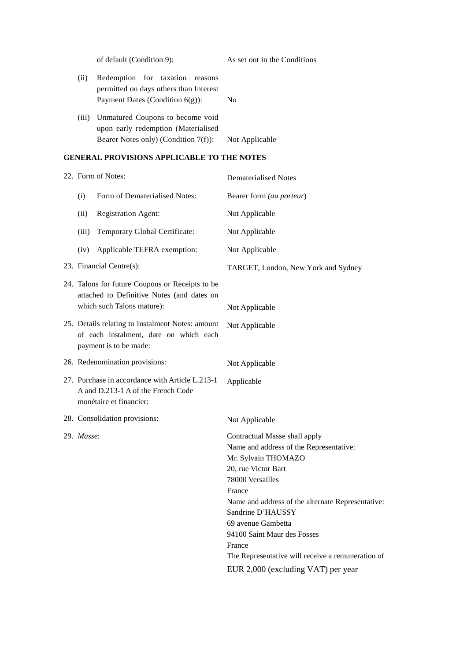|       | of default (Condition 9):                                                                                          | As set out in the Conditions |  |
|-------|--------------------------------------------------------------------------------------------------------------------|------------------------------|--|
| (ii)  | Redemption for taxation reasons<br>permitted on days others than Interest<br>Payment Dates (Condition $6(g)$ ):    | No.                          |  |
| (iii) | Unmatured Coupons to become void<br>upon early redemption (Materialised<br>Bearer Notes only) (Condition $7(f)$ ): | Not Applicable               |  |

# **GENERAL PROVISIONS APPLICABLE TO THE NOTES**

| 22. Form of Notes:                                                                                                          |                               | <b>Dematerialised Notes</b>                                                                                                                                                                                                                                                                                                                                                              |
|-----------------------------------------------------------------------------------------------------------------------------|-------------------------------|------------------------------------------------------------------------------------------------------------------------------------------------------------------------------------------------------------------------------------------------------------------------------------------------------------------------------------------------------------------------------------------|
| (i)                                                                                                                         | Form of Dematerialised Notes: | Bearer form (au porteur)                                                                                                                                                                                                                                                                                                                                                                 |
| (ii)                                                                                                                        | <b>Registration Agent:</b>    | Not Applicable                                                                                                                                                                                                                                                                                                                                                                           |
| (iii)                                                                                                                       | Temporary Global Certificate: | Not Applicable                                                                                                                                                                                                                                                                                                                                                                           |
| (iv)                                                                                                                        | Applicable TEFRA exemption:   | Not Applicable                                                                                                                                                                                                                                                                                                                                                                           |
| 23. Financial Centre(s):                                                                                                    |                               | TARGET, London, New York and Sydney                                                                                                                                                                                                                                                                                                                                                      |
| 24. Talons for future Coupons or Receipts to be<br>attached to Definitive Notes (and dates on<br>which such Talons mature): |                               | Not Applicable                                                                                                                                                                                                                                                                                                                                                                           |
| 25. Details relating to Instalment Notes: amount<br>of each instalment, date on which each<br>payment is to be made:        |                               | Not Applicable                                                                                                                                                                                                                                                                                                                                                                           |
|                                                                                                                             |                               | Not Applicable                                                                                                                                                                                                                                                                                                                                                                           |
|                                                                                                                             |                               | Applicable                                                                                                                                                                                                                                                                                                                                                                               |
|                                                                                                                             |                               | Not Applicable                                                                                                                                                                                                                                                                                                                                                                           |
|                                                                                                                             |                               | Contractual Masse shall apply<br>Name and address of the Representative:<br>Mr. Sylvain THOMAZO<br>20, rue Victor Bart<br>78000 Versailles<br>France<br>Name and address of the alternate Representative:<br>Sandrine D'HAUSSY<br>69 avenue Gambetta<br>94100 Saint Maur des Fosses<br>France<br>The Representative will receive a remuneration of<br>EUR 2,000 (excluding VAT) per year |
|                                                                                                                             |                               | 26. Redenomination provisions:<br>27. Purchase in accordance with Article L.213-1<br>A and D.213-1 A of the French Code<br>monétaire et financier:<br>28. Consolidation provisions:<br>29. Masse:                                                                                                                                                                                        |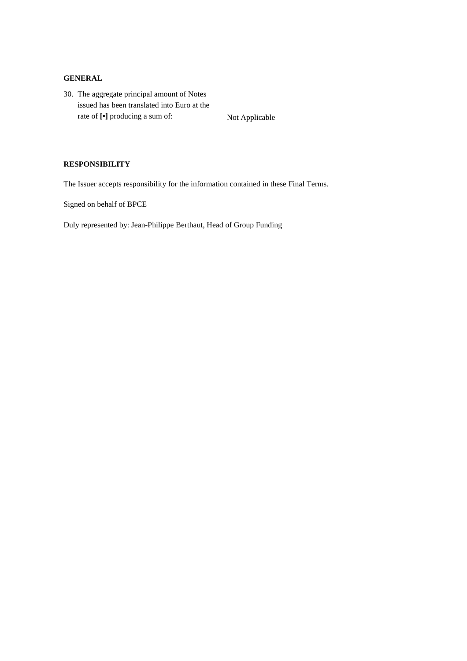## **GENERAL**

30. The aggregate principal amount of Notes issued has been translated into Euro at the rate of  $[\cdot]$  producing a sum of: Not Applicable

## **RESPONSIBILITY**

The Issuer accepts responsibility for the information contained in these Final Terms.

Signed on behalf of BPCE

Duly represented by: Jean-Philippe Berthaut, Head of Group Funding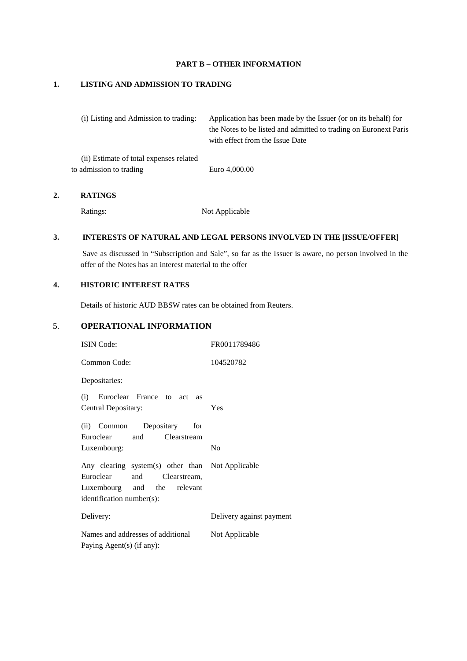#### **PART B – OTHER INFORMATION**

### **1. LISTING AND ADMISSION TO TRADING**

 (i) Listing and Admission to trading: Application has been made by the Issuer (or on its behalf) for the Notes to be listed and admitted to trading on Euronext Paris with effect from the Issue Date (ii) Estimate of total expenses related to admission to trading Euro 4,000.00

#### **2. RATINGS**

Ratings: Not Applicable

### **3. INTERESTS OF NATURAL AND LEGAL PERSONS INVOLVED IN THE [ISSUE/OFFER]**

Save as discussed in "Subscription and Sale", so far as the Issuer is aware, no person involved in the offer of the Notes has an interest material to the offer

## **4. HISTORIC INTEREST RATES**

Details of historic AUD BBSW rates can be obtained from Reuters.

# 5. **OPERATIONAL INFORMATION**

| <b>ISIN</b> Code:                                                                                                                          | FR0011789486             |  |
|--------------------------------------------------------------------------------------------------------------------------------------------|--------------------------|--|
| Common Code:                                                                                                                               | 104520782                |  |
| Depositaries:                                                                                                                              |                          |  |
| Euroclear France to act as<br>(i)<br>Central Depositary:                                                                                   | Yes                      |  |
| (ii) Common Depositary for                                                                                                                 |                          |  |
| Euroclear and Clearstream                                                                                                                  |                          |  |
| Luxembourg:                                                                                                                                | N <sub>0</sub>           |  |
| Any clearing system(s) other than Not Applicable<br>Euroclear and Clearstream,<br>Luxembourg and the relevant<br>identification number(s): |                          |  |
| Delivery:                                                                                                                                  | Delivery against payment |  |
| Names and addresses of additional                                                                                                          | Not Applicable           |  |
| Paying Agent(s) (if any):                                                                                                                  |                          |  |